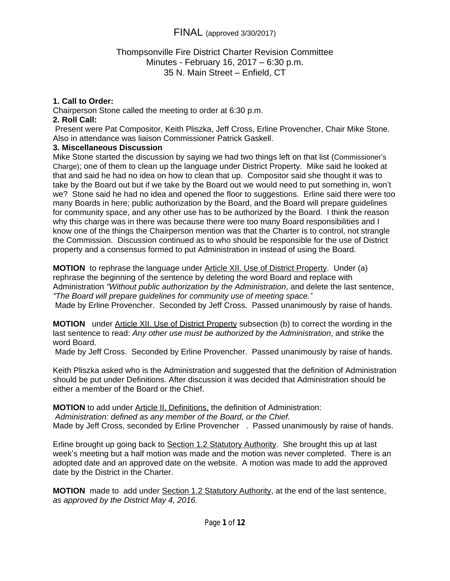### Thompsonville Fire District Charter Revision Committee Minutes - February 16, 2017 – 6:30 p.m. 35 N. Main Street – Enfield, CT

### **1. Call to Order:**

Chairperson Stone called the meeting to order at 6:30 p.m.

#### **2. Roll Call:**

Present were Pat Compositor, Keith Pliszka, Jeff Cross, Erline Provencher, Chair Mike Stone. Also in attendance was liaison Commissioner Patrick Gaskell.

#### **3. Miscellaneous Discussion**

Mike Stone started the discussion by saying we had two things left on that list (Commissioner's Charge); one of them to clean up the language under District Property. Mike said he looked at that and said he had no idea on how to clean that up. Compositor said she thought it was to take by the Board out but if we take by the Board out we would need to put something in, won't we? Stone said he had no idea and opened the floor to suggestions. Erline said there were too many Boards in here; public authorization by the Board, and the Board will prepare guidelines for community space, and any other use has to be authorized by the Board. I think the reason why this charge was in there was because there were too many Board responsibilities and I know one of the things the Chairperson mention was that the Charter is to control, not strangle the Commission. Discussion continued as to who should be responsible for the use of District property and a consensus formed to put Administration in instead of using the Board.

**MOTION** to rephrase the language under Article XII. Use of District Property. Under (a) rephrase the beginning of the sentence by deleting the word Board and replace with Administration *"Without public authorization by the Administration*, and delete the last sentence, *"The Board will prepare guidelines for community use of meeting space."*

Made by Erline Provencher. Seconded by Jeff Cross. Passed unanimously by raise of hands.

**MOTION** under Article XII. Use of District Property subsection (b) to correct the wording in the last sentence to read: *Any other use must be authorized by the Administration*, and strike the word Board.

Made by Jeff Cross. Seconded by Erline Provencher. Passed unanimously by raise of hands.

Keith Pliszka asked who is the Administration and suggested that the definition of Administration should be put under Definitions. After discussion it was decided that Administration should be either a member of the Board or the Chief.

**MOTION** to add under Article II, Definitions, the definition of Administration:

*Administration: defined as any member of the Board, or the Chief.*

Made by Jeff Cross, seconded by Erline Provencher . Passed unanimously by raise of hands.

Erline brought up going back to Section 1.2 Statutory Authority. She brought this up at last week's meeting but a half motion was made and the motion was never completed. There is an adopted date and an approved date on the website. A motion was made to add the approved date by the District in the Charter.

**MOTION** made to add under Section 1.2 Statutory Authority, at the end of the last sentence, *as approved by the District May 4, 2016*.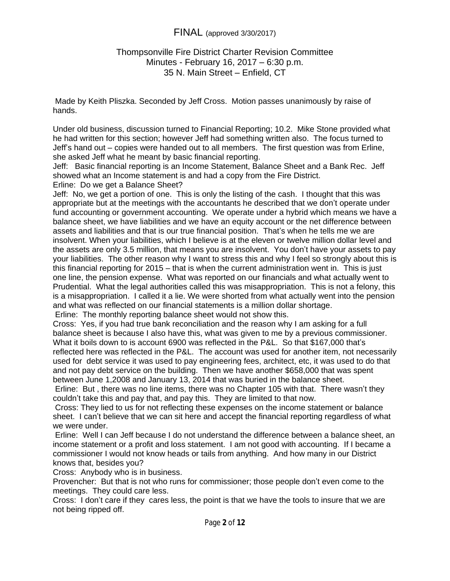#### Thompsonville Fire District Charter Revision Committee Minutes - February 16, 2017 – 6:30 p.m. 35 N. Main Street – Enfield, CT

 Made by Keith Pliszka. Seconded by Jeff Cross. Motion passes unanimously by raise of hands.

Under old business, discussion turned to Financial Reporting; 10.2. Mike Stone provided what he had written for this section; however Jeff had something written also. The focus turned to Jeff's hand out – copies were handed out to all members. The first question was from Erline, she asked Jeff what he meant by basic financial reporting.

Jeff: Basic financial reporting is an Income Statement, Balance Sheet and a Bank Rec. Jeff showed what an Income statement is and had a copy from the Fire District.

Erline: Do we get a Balance Sheet?

Jeff: No, we get a portion of one. This is only the listing of the cash. I thought that this was appropriate but at the meetings with the accountants he described that we don't operate under fund accounting or government accounting. We operate under a hybrid which means we have a balance sheet, we have liabilities and we have an equity account or the net difference between assets and liabilities and that is our true financial position. That's when he tells me we are insolvent. When your liabilities, which I believe is at the eleven or twelve million dollar level and the assets are only 3.5 million, that means you are insolvent. You don't have your assets to pay your liabilities. The other reason why I want to stress this and why I feel so strongly about this is this financial reporting for 2015 – that is when the current administration went in. This is just one line, the pension expense. What was reported on our financials and what actually went to Prudential. What the legal authorities called this was misappropriation. This is not a felony, this is a misappropriation. I called it a lie. We were shorted from what actually went into the pension and what was reflected on our financial statements is a million dollar shortage.

Erline: The monthly reporting balance sheet would not show this.

Cross: Yes, if you had true bank reconciliation and the reason why I am asking for a full balance sheet is because I also have this, what was given to me by a previous commissioner. What it boils down to is account 6900 was reflected in the P&L. So that \$167,000 that's reflected here was reflected in the P&L. The account was used for another item, not necessarily used for debt service it was used to pay engineering fees, architect, etc, it was used to do that and not pay debt service on the building. Then we have another \$658,000 that was spent between June 1,2008 and January 13, 2014 that was buried in the balance sheet.

 Erline: But , there was no line items, there was no Chapter 105 with that. There wasn't they couldn't take this and pay that, and pay this. They are limited to that now.

Cross: They lied to us for not reflecting these expenses on the income statement or balance sheet. I can't believe that we can sit here and accept the financial reporting regardless of what we were under.

 Erline: Well I can Jeff because I do not understand the difference between a balance sheet, an income statement or a profit and loss statement. I am not good with accounting. If I became a commissioner I would not know heads or tails from anything. And how many in our District knows that, besides you?

Cross: Anybody who is in business.

Provencher: But that is not who runs for commissioner; those people don't even come to the meetings. They could care less.

Cross: I don't care if they cares less, the point is that we have the tools to insure that we are not being ripped off.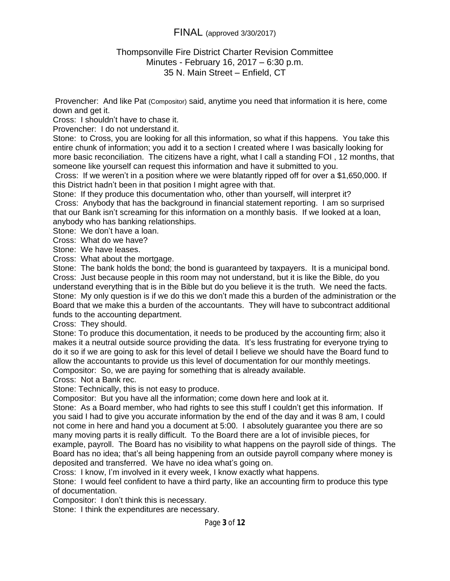#### Thompsonville Fire District Charter Revision Committee Minutes - February 16, 2017 – 6:30 p.m. 35 N. Main Street – Enfield, CT

Provencher: And like Pat (Compositor) said, anytime you need that information it is here, come down and get it.

Cross: I shouldn't have to chase it.

Provencher: I do not understand it.

Stone: to Cross, you are looking for all this information, so what if this happens. You take this entire chunk of information; you add it to a section I created where I was basically looking for more basic reconciliation. The citizens have a right, what I call a standing FOI , 12 months, that someone like yourself can request this information and have it submitted to you.

 Cross: If we weren't in a position where we were blatantly ripped off for over a \$1,650,000. If this District hadn't been in that position I might agree with that.

Stone: If they produce this documentation who, other than yourself, will interpret it? Cross: Anybody that has the background in financial statement reporting. I am so surprised that our Bank isn't screaming for this information on a monthly basis. If we looked at a loan, anybody who has banking relationships.

Stone: We don't have a loan.

Cross: What do we have?

Stone: We have leases.

Cross: What about the mortgage.

Stone: The bank holds the bond; the bond is guaranteed by taxpayers. It is a municipal bond. Cross: Just because people in this room may not understand, but it is like the Bible, do you understand everything that is in the Bible but do you believe it is the truth. We need the facts. Stone: My only question is if we do this we don't made this a burden of the administration or the Board that we make this a burden of the accountants. They will have to subcontract additional funds to the accounting department.

Cross: They should.

Stone: To produce this documentation, it needs to be produced by the accounting firm; also it makes it a neutral outside source providing the data. It's less frustrating for everyone trying to do it so if we are going to ask for this level of detail I believe we should have the Board fund to allow the accountants to provide us this level of documentation for our monthly meetings. Compositor: So, we are paying for something that is already available.

Cross: Not a Bank rec.

Stone: Technically, this is not easy to produce.

Compositor: But you have all the information; come down here and look at it.

Stone: As a Board member, who had rights to see this stuff I couldn't get this information. If you said I had to give you accurate information by the end of the day and it was 8 am, I could not come in here and hand you a document at 5:00. I absolutely guarantee you there are so many moving parts it is really difficult. To the Board there are a lot of invisible pieces, for example, payroll. The Board has no visibility to what happens on the payroll side of things. The Board has no idea; that's all being happening from an outside payroll company where money is deposited and transferred. We have no idea what's going on.

Cross: I know, I'm involved in it every week, I know exactly what happens.

Stone: I would feel confident to have a third party, like an accounting firm to produce this type of documentation.

Compositor: I don't think this is necessary.

Stone: I think the expenditures are necessary.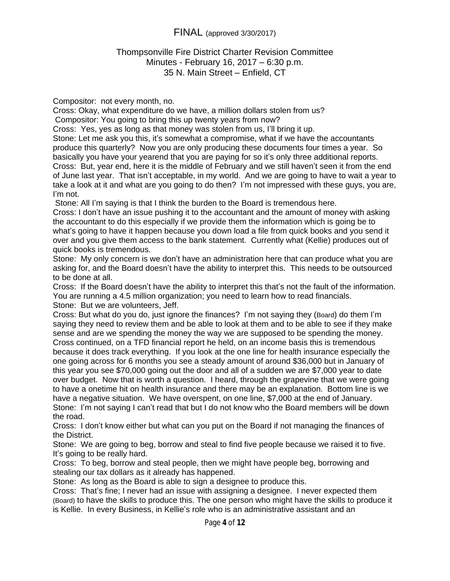### Thompsonville Fire District Charter Revision Committee Minutes - February 16, 2017 – 6:30 p.m. 35 N. Main Street – Enfield, CT

Compositor: not every month, no.

Cross: Okay, what expenditure do we have, a million dollars stolen from us? Compositor: You going to bring this up twenty years from now?

Cross: Yes, yes as long as that money was stolen from us, I'll bring it up.

Stone: Let me ask you this, it's somewhat a compromise, what if we have the accountants produce this quarterly? Now you are only producing these documents four times a year. So basically you have your yearend that you are paying for so it's only three additional reports. Cross: But, year end, here it is the middle of February and we still haven't seen it from the end of June last year. That isn't acceptable, in my world. And we are going to have to wait a year to take a look at it and what are you going to do then? I'm not impressed with these guys, you are, I'm not.

Stone: All I'm saying is that I think the burden to the Board is tremendous here.

Cross: I don't have an issue pushing it to the accountant and the amount of money with asking the accountant to do this especially if we provide them the information which is going be to what's going to have it happen because you down load a file from quick books and you send it over and you give them access to the bank statement. Currently what (Kellie) produces out of quick books is tremendous.

Stone: My only concern is we don't have an administration here that can produce what you are asking for, and the Board doesn't have the ability to interpret this. This needs to be outsourced to be done at all.

Cross: If the Board doesn't have the ability to interpret this that's not the fault of the information. You are running a 4.5 million organization; you need to learn how to read financials. Stone: But we are volunteers, Jeff.

Cross: But what do you do, just ignore the finances? I'm not saying they (Board) do them I'm saying they need to review them and be able to look at them and to be able to see if they make sense and are we spending the money the way we are supposed to be spending the money. Cross continued, on a TFD financial report he held, on an income basis this is tremendous because it does track everything. If you look at the one line for health insurance especially the one going across for 6 months you see a steady amount of around \$36,000 but in January of this year you see \$70,000 going out the door and all of a sudden we are \$7,000 year to date over budget. Now that is worth a question. I heard, through the grapevine that we were going to have a onetime hit on health insurance and there may be an explanation. Bottom line is we have a negative situation. We have overspent, on one line, \$7,000 at the end of January. Stone: I'm not saying I can't read that but I do not know who the Board members will be down the road.

Cross: I don't know either but what can you put on the Board if not managing the finances of the District.

Stone: We are going to beg, borrow and steal to find five people because we raised it to five. It's going to be really hard.

Cross: To beg, borrow and steal people, then we might have people beg, borrowing and stealing our tax dollars as it already has happened.

Stone: As long as the Board is able to sign a designee to produce this.

Cross: That's fine; I never had an issue with assigning a designee. I never expected them (Board) to have the skills to produce this. The one person who might have the skills to produce it is Kellie. In every Business, in Kellie's role who is an administrative assistant and an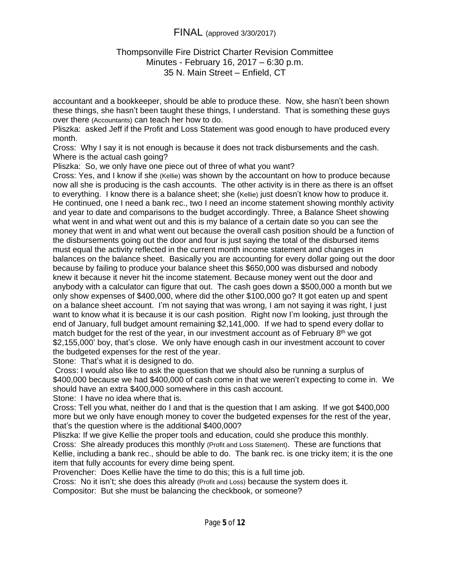### Thompsonville Fire District Charter Revision Committee Minutes - February 16, 2017 – 6:30 p.m. 35 N. Main Street – Enfield, CT

accountant and a bookkeeper, should be able to produce these. Now, she hasn't been shown these things, she hasn't been taught these things, I understand. That is something these guys over there (Accountants) can teach her how to do.

Pliszka: asked Jeff if the Profit and Loss Statement was good enough to have produced every month.

Cross: Why I say it is not enough is because it does not track disbursements and the cash. Where is the actual cash going?

Pliszka: So, we only have one piece out of three of what you want?

Cross: Yes, and I know if she (Kellie) was shown by the accountant on how to produce because now all she is producing is the cash accounts. The other activity is in there as there is an offset to everything. I know there is a balance sheet; she (Kellie) just doesn't know how to produce it. He continued, one I need a bank rec., two I need an income statement showing monthly activity and year to date and comparisons to the budget accordingly. Three, a Balance Sheet showing what went in and what went out and this is my balance of a certain date so you can see the money that went in and what went out because the overall cash position should be a function of the disbursements going out the door and four is just saying the total of the disbursed items must equal the activity reflected in the current month income statement and changes in balances on the balance sheet. Basically you are accounting for every dollar going out the door because by failing to produce your balance sheet this \$650,000 was disbursed and nobody knew it because it never hit the income statement. Because money went out the door and anybody with a calculator can figure that out. The cash goes down a \$500,000 a month but we only show expenses of \$400,000, where did the other \$100,000 go? It got eaten up and spent on a balance sheet account. I'm not saying that was wrong, I am not saying it was right, I just want to know what it is because it is our cash position. Right now I'm looking, just through the end of January, full budget amount remaining \$2,141,000. If we had to spend every dollar to match budget for the rest of the year, in our investment account as of February  $8<sup>th</sup>$  we got \$2,155,000' boy, that's close. We only have enough cash in our investment account to cover the budgeted expenses for the rest of the year.

Stone: That's what it is designed to do.

 Cross: I would also like to ask the question that we should also be running a surplus of \$400,000 because we had \$400,000 of cash come in that we weren't expecting to come in. We should have an extra \$400,000 somewhere in this cash account.

Stone: I have no idea where that is.

Cross: Tell you what, neither do I and that is the question that I am asking. If we got \$400,000 more but we only have enough money to cover the budgeted expenses for the rest of the year, that's the question where is the additional \$400,000?

Pliszka: If we give Kellie the proper tools and education, could she produce this monthly. Cross: She already produces this monthly (Profit and Loss Statement). These are functions that Kellie, including a bank rec., should be able to do. The bank rec. is one tricky item; it is the one item that fully accounts for every dime being spent.

Provencher: Does Kellie have the time to do this; this is a full time job.

Cross: No it isn't; she does this already (Profit and Loss) because the system does it.

Compositor: But she must be balancing the checkbook, or someone?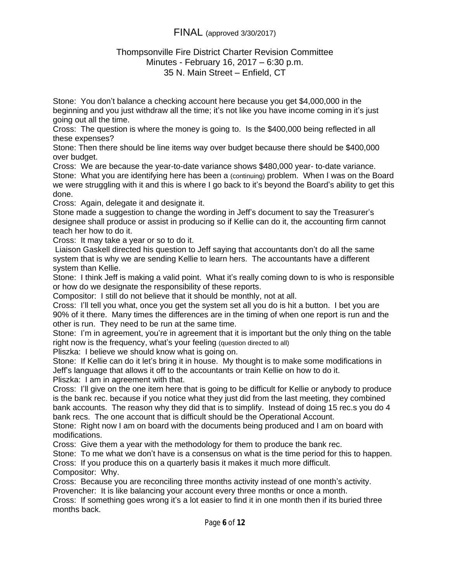### Thompsonville Fire District Charter Revision Committee Minutes - February 16, 2017 – 6:30 p.m. 35 N. Main Street – Enfield, CT

Stone: You don't balance a checking account here because you get \$4,000,000 in the beginning and you just withdraw all the time; it's not like you have income coming in it's just going out all the time.

Cross: The question is where the money is going to. Is the \$400,000 being reflected in all these expenses?

Stone: Then there should be line items way over budget because there should be \$400,000 over budget.

Cross: We are because the year-to-date variance shows \$480,000 year- to-date variance. Stone: What you are identifying here has been a (continuing) problem. When I was on the Board we were struggling with it and this is where I go back to it's beyond the Board's ability to get this done.

Cross: Again, delegate it and designate it.

Stone made a suggestion to change the wording in Jeff's document to say the Treasurer's designee shall produce or assist in producing so if Kellie can do it, the accounting firm cannot teach her how to do it.

Cross: It may take a year or so to do it.

 Liaison Gaskell directed his question to Jeff saying that accountants don't do all the same system that is why we are sending Kellie to learn hers. The accountants have a different system than Kellie.

Stone: I think Jeff is making a valid point. What it's really coming down to is who is responsible or how do we designate the responsibility of these reports.

Compositor: I still do not believe that it should be monthly, not at all.

Cross: I'll tell you what, once you get the system set all you do is hit a button. I bet you are 90% of it there. Many times the differences are in the timing of when one report is run and the other is run. They need to be run at the same time.

Stone: I'm in agreement, you're in agreement that it is important but the only thing on the table right now is the frequency, what's your feeling (question directed to all)

Pliszka: I believe we should know what is going on.

Stone: If Kellie can do it let's bring it in house. My thought is to make some modifications in Jeff's language that allows it off to the accountants or train Kellie on how to do it.

Pliszka: I am in agreement with that.

Cross: I'll give on the one item here that is going to be difficult for Kellie or anybody to produce is the bank rec. because if you notice what they just did from the last meeting, they combined bank accounts. The reason why they did that is to simplify. Instead of doing 15 rec.s you do 4 bank recs. The one account that is difficult should be the Operational Account.

Stone: Right now I am on board with the documents being produced and I am on board with modifications.

Cross: Give them a year with the methodology for them to produce the bank rec.

Stone: To me what we don't have is a consensus on what is the time period for this to happen.

Cross: If you produce this on a quarterly basis it makes it much more difficult. Compositor: Why.

Cross: Because you are reconciling three months activity instead of one month's activity. Provencher: It is like balancing your account every three months or once a month.

Cross: If something goes wrong it's a lot easier to find it in one month then if its buried three months back.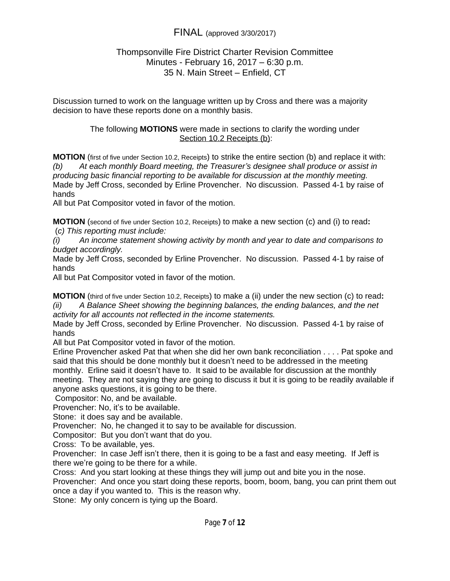### Thompsonville Fire District Charter Revision Committee Minutes - February 16, 2017 – 6:30 p.m. 35 N. Main Street – Enfield, CT

Discussion turned to work on the language written up by Cross and there was a majority decision to have these reports done on a monthly basis.

#### The following **MOTIONS** were made in sections to clarify the wording under Section 10.2 Receipts (b):

**MOTION** (first of five under Section 10.2, Receipts) to strike the entire section (b) and replace it with: *(b) At each monthly Board meeting, the Treasurer's designee shall produce or assist in producing basic financial reporting to be available for discussion at the monthly meeting.* Made by Jeff Cross, seconded by Erline Provencher. No discussion. Passed 4-1 by raise of hands

All but Pat Compositor voted in favor of the motion.

**MOTION** (second of five under Section 10.2, Receipts) to make a new section (c) and (i) to read**:** (*c) This reporting must include:*

*(i) An income statement showing activity by month and year to date and comparisons to budget accordingly.*

Made by Jeff Cross, seconded by Erline Provencher. No discussion. Passed 4-1 by raise of hands

All but Pat Compositor voted in favor of the motion.

**MOTION** (third of five under Section 10.2, Receipts) to make a (ii) under the new section (c) to read**:**

*(ii) A Balance Sheet showing the beginning balances, the ending balances, and the net activity for all accounts not reflected in the income statements.*

Made by Jeff Cross, seconded by Erline Provencher. No discussion. Passed 4-1 by raise of hands

All but Pat Compositor voted in favor of the motion.

Erline Provencher asked Pat that when she did her own bank reconciliation . . . . Pat spoke and said that this should be done monthly but it doesn't need to be addressed in the meeting monthly. Erline said it doesn't have to. It said to be available for discussion at the monthly meeting. They are not saying they are going to discuss it but it is going to be readily available if anyone asks questions, it is going to be there.

Compositor: No, and be available.

Provencher: No, it's to be available.

Stone: it does say and be available.

Provencher: No, he changed it to say to be available for discussion.

Compositor: But you don't want that do you.

Cross: To be available, yes.

Provencher: In case Jeff isn't there, then it is going to be a fast and easy meeting. If Jeff is there we're going to be there for a while.

Cross: And you start looking at these things they will jump out and bite you in the nose.

Provencher: And once you start doing these reports, boom, boom, bang, you can print them out once a day if you wanted to. This is the reason why.

Stone: My only concern is tying up the Board.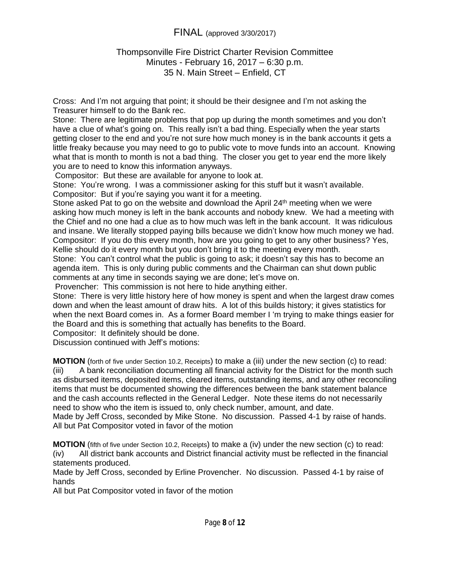### Thompsonville Fire District Charter Revision Committee Minutes - February 16, 2017 – 6:30 p.m. 35 N. Main Street – Enfield, CT

Cross: And I'm not arguing that point; it should be their designee and I'm not asking the Treasurer himself to do the Bank rec.

Stone: There are legitimate problems that pop up during the month sometimes and you don't have a clue of what's going on. This really isn't a bad thing. Especially when the year starts getting closer to the end and you're not sure how much money is in the bank accounts it gets a little freaky because you may need to go to public vote to move funds into an account. Knowing what that is month to month is not a bad thing. The closer you get to year end the more likely you are to need to know this information anyways.

Compositor: But these are available for anyone to look at.

Stone: You're wrong. I was a commissioner asking for this stuff but it wasn't available. Compositor: But if you're saying you want it for a meeting.

Stone asked Pat to go on the website and download the April  $24<sup>th</sup>$  meeting when we were asking how much money is left in the bank accounts and nobody knew. We had a meeting with the Chief and no one had a clue as to how much was left in the bank account. It was ridiculous and insane. We literally stopped paying bills because we didn't know how much money we had. Compositor: If you do this every month, how are you going to get to any other business? Yes, Kellie should do it every month but you don't bring it to the meeting every month.

Stone: You can't control what the public is going to ask; it doesn't say this has to become an agenda item. This is only during public comments and the Chairman can shut down public comments at any time in seconds saying we are done; let's move on.

Provencher: This commission is not here to hide anything either.

Stone: There is very little history here of how money is spent and when the largest draw comes down and when the least amount of draw hits. A lot of this builds history; it gives statistics for when the next Board comes in. As a former Board member I 'm trying to make things easier for the Board and this is something that actually has benefits to the Board.

Compositor: It definitely should be done.

Discussion continued with Jeff's motions:

**MOTION** (forth of five under Section 10.2, Receipts) to make a (iii) under the new section (c) to read: (iii) A bank reconciliation documenting all financial activity for the District for the month such as disbursed items, deposited items, cleared items, outstanding items, and any other reconciling items that must be documented showing the differences between the bank statement balance and the cash accounts reflected in the General Ledger. Note these items do not necessarily need to show who the item is issued to, only check number, amount, and date. Made by Jeff Cross, seconded by Mike Stone. No discussion. Passed 4-1 by raise of hands.

All but Pat Compositor voted in favor of the motion

**MOTION** (fifth of five under Section 10.2, Receipts) to make a (iv) under the new section (c) to read:

(iv) All district bank accounts and District financial activity must be reflected in the financial statements produced.

Made by Jeff Cross, seconded by Erline Provencher. No discussion. Passed 4-1 by raise of hands

All but Pat Compositor voted in favor of the motion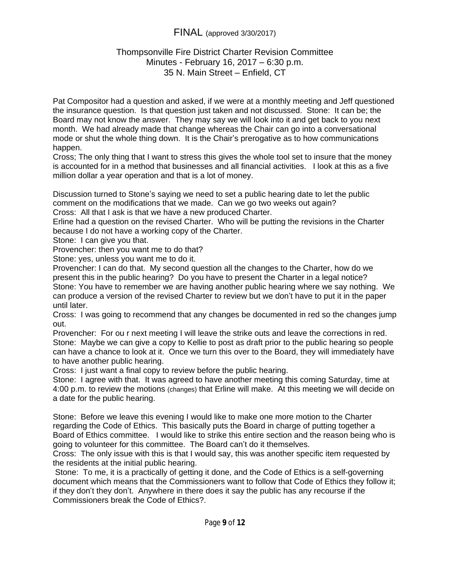### Thompsonville Fire District Charter Revision Committee Minutes - February 16, 2017 – 6:30 p.m. 35 N. Main Street – Enfield, CT

Pat Compositor had a question and asked, if we were at a monthly meeting and Jeff questioned the insurance question. Is that question just taken and not discussed. Stone: It can be; the Board may not know the answer. They may say we will look into it and get back to you next month. We had already made that change whereas the Chair can go into a conversational mode or shut the whole thing down. It is the Chair's prerogative as to how communications happen.

Cross; The only thing that I want to stress this gives the whole tool set to insure that the money is accounted for in a method that businesses and all financial activities. I look at this as a five million dollar a year operation and that is a lot of money.

Discussion turned to Stone's saying we need to set a public hearing date to let the public comment on the modifications that we made. Can we go two weeks out again? Cross: All that I ask is that we have a new produced Charter.

Erline had a question on the revised Charter. Who will be putting the revisions in the Charter because I do not have a working copy of the Charter.

Stone: I can give you that.

Provencher: then you want me to do that?

Stone: yes, unless you want me to do it.

Provencher: I can do that. My second question all the changes to the Charter, how do we present this in the public hearing? Do you have to present the Charter in a legal notice? Stone: You have to remember we are having another public hearing where we say nothing. We can produce a version of the revised Charter to review but we don't have to put it in the paper until later.

Cross: I was going to recommend that any changes be documented in red so the changes jump out.

Provencher: For ou r next meeting I will leave the strike outs and leave the corrections in red. Stone: Maybe we can give a copy to Kellie to post as draft prior to the public hearing so people can have a chance to look at it. Once we turn this over to the Board, they will immediately have to have another public hearing.

Cross: I just want a final copy to review before the public hearing.

Stone: I agree with that. It was agreed to have another meeting this coming Saturday, time at 4:00 p.m. to review the motions (changes) that Erline will make. At this meeting we will decide on a date for the public hearing.

Stone: Before we leave this evening I would like to make one more motion to the Charter regarding the Code of Ethics. This basically puts the Board in charge of putting together a Board of Ethics committee. I would like to strike this entire section and the reason being who is going to volunteer for this committee. The Board can't do it themselves.

Cross: The only issue with this is that I would say, this was another specific item requested by the residents at the initial public hearing.

 Stone: To me, it is a practically of getting it done, and the Code of Ethics is a self-governing document which means that the Commissioners want to follow that Code of Ethics they follow it; if they don't they don't. Anywhere in there does it say the public has any recourse if the Commissioners break the Code of Ethics?.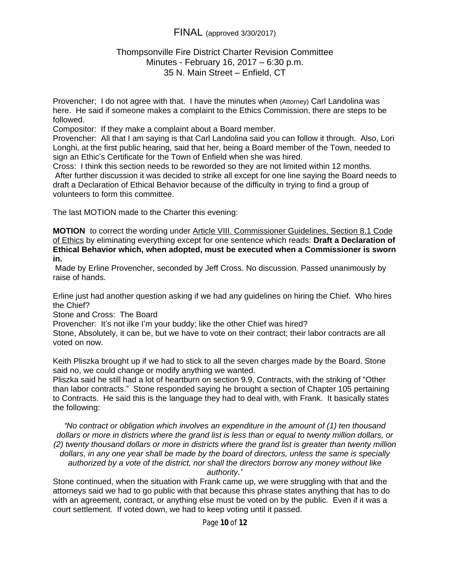### Thompsonville Fire District Charter Revision Committee Minutes - February 16, 2017 – 6:30 p.m. 35 N. Main Street – Enfield, CT

Provencher; I do not agree with that. I have the minutes when (Attorney) Carl Landolina was here. He said if someone makes a complaint to the Ethics Commission, there are steps to be followed.

Compositor: If they make a complaint about a Board member.

Provencher: All that I am saying is that Carl Landolina said you can follow it through. Also, Lori Longhi, at the first public hearing, said that her, being a Board member of the Town, needed to sign an Ethic's Certificate for the Town of Enfield when she was hired.

Cross: I think this section needs to be reworded so they are not limited within 12 months. After further discussion it was decided to strike all except for one line saying the Board needs to draft a Declaration of Ethical Behavior because of the difficulty in trying to find a group of volunteers to form this committee.

The last MOTION made to the Charter this evening:

**MOTION** to correct the wording under Article VIII. Commissioner Guidelines, Section 8.1 Code of Ethics by eliminating everything except for one sentence which reads: **Draft a Declaration of Ethical Behavior which, when adopted, must be executed when a Commissioner is sworn in.**

 Made by Erline Provencher, seconded by Jeff Cross. No discussion. Passed unanimously by raise of hands.

Erline just had another question asking if we had any guidelines on hiring the Chief. Who hires the Chief?

Stone and Cross: The Board

Provencher: It's not ilke I'm your buddy; like the other Chief was hired?

Stone, Absolutely, it can be, but we have to vote on their contract; their labor contracts are all voted on now.

Keith Pliszka brought up if we had to stick to all the seven charges made by the Board. Stone said no, we could change or modify anything we wanted.

Pliszka said he still had a lot of heartburn on section 9.9, Contracts, with the striking of "Other than labor contracts." Stone responded saying he brought a section of Chapter 105 pertaining to Contracts. He said this is the language they had to deal with, with Frank. It basically states the following:

*"No contract or obligation which involves an expenditure in the amount of (1) ten thousand dollars or more in districts where the grand list is less than or equal to twenty million dollars, or (2) twenty thousand dollars or more in districts where the grand list is greater than twenty million dollars, in any one year shall be made by the board of directors, unless the same is specially authorized by a vote of the district, nor shall the directors borrow any money without like authority."*

Stone continued, when the situation with Frank came up, we were struggling with that and the attorneys said we had to go public with that because this phrase states anything that has to do with an agreement, contract, or anything else must be voted on by the public. Even if it was a court settlement. If voted down, we had to keep voting until it passed.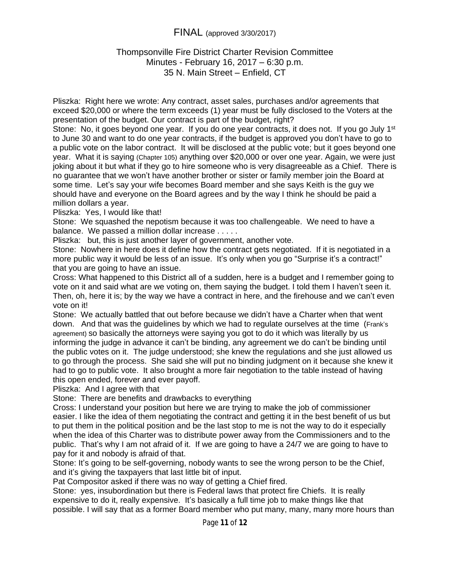### Thompsonville Fire District Charter Revision Committee Minutes - February 16, 2017 – 6:30 p.m. 35 N. Main Street – Enfield, CT

Pliszka: Right here we wrote: Any contract, asset sales, purchases and/or agreements that exceed \$20,000 or where the term exceeds (1) year must be fully disclosed to the Voters at the presentation of the budget. Our contract is part of the budget, right?

Stone: No, it goes beyond one year. If you do one year contracts, it does not. If you go July 1<sup>st</sup> to June 30 and want to do one year contracts, if the budget is approved you don't have to go to a public vote on the labor contract. It will be disclosed at the public vote; but it goes beyond one year. What it is saying (Chapter 105) anything over \$20,000 or over one year. Again, we were just joking about it but what if they go to hire someone who is very disagreeable as a Chief. There is no guarantee that we won't have another brother or sister or family member join the Board at some time. Let's say your wife becomes Board member and she says Keith is the guy we should have and everyone on the Board agrees and by the way I think he should be paid a million dollars a year.

Pliszka: Yes, I would like that!

Stone: We squashed the nepotism because it was too challengeable. We need to have a balance. We passed a million dollar increase . . . . .

Pliszka: but, this is just another layer of government, another vote.

Stone: Nowhere in here does it define how the contract gets negotiated. If it is negotiated in a more public way it would be less of an issue. It's only when you go "Surprise it's a contract!" that you are going to have an issue.

Cross: What happened to this District all of a sudden, here is a budget and I remember going to vote on it and said what are we voting on, them saying the budget. I told them I haven't seen it. Then, oh, here it is; by the way we have a contract in here, and the firehouse and we can't even vote on it!

Stone: We actually battled that out before because we didn't have a Charter when that went down. And that was the guidelines by which we had to regulate ourselves at the time (Frank's agreement) so basically the attorneys were saying you got to do it which was literally by us informing the judge in advance it can't be binding, any agreement we do can't be binding until the public votes on it. The judge understood; she knew the regulations and she just allowed us to go through the process. She said she will put no binding judgment on it because she knew it had to go to public vote. It also brought a more fair negotiation to the table instead of having this open ended, forever and ever payoff.

Pliszka: And I agree with that

Stone: There are benefits and drawbacks to everything

Cross: I understand your position but here we are trying to make the job of commissioner easier. I like the idea of them negotiating the contract and getting it in the best benefit of us but to put them in the political position and be the last stop to me is not the way to do it especially when the idea of this Charter was to distribute power away from the Commissioners and to the public. That's why I am not afraid of it. If we are going to have a 24/7 we are going to have to pay for it and nobody is afraid of that.

Stone: It's going to be self-governing, nobody wants to see the wrong person to be the Chief, and it's giving the taxpayers that last little bit of input.

Pat Compositor asked if there was no way of getting a Chief fired.

Stone: yes, insubordination but there is Federal laws that protect fire Chiefs. It is really expensive to do it, really expensive. It's basically a full time job to make things like that possible. I will say that as a former Board member who put many, many, many more hours than